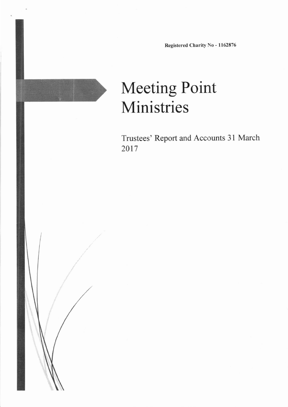Registered Charity No - I162876

# Meeting Point Ministries

I

Trustees' Report and Accounts 3l March 2017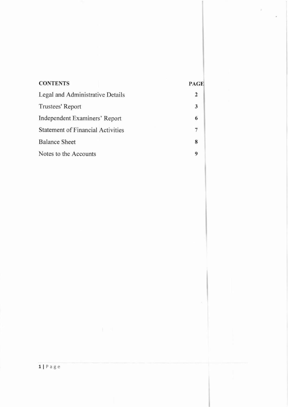| <b>CONTENTS</b>                          | PAGE |
|------------------------------------------|------|
| Legal and Administrative Details         | 2    |
| Trustees' Report                         | 3    |
| Independent Examiners' Report            | 6    |
| <b>Statement of Financial Activities</b> |      |
| <b>Balance Sheet</b>                     | 8    |
| Notes to the Accounts                    | 9    |

 $\lambda$ 

ü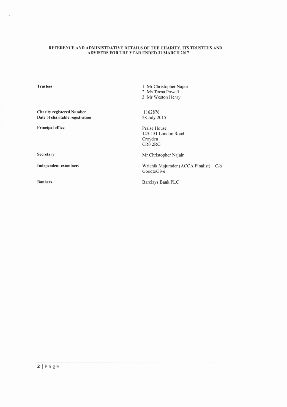# REFERENCE AND ADMINISTRATIVE DETAILS OF THE CHARITY, ITS TRUSTEES AND ADVISERS FOR THE YEAR ENDED 31 MARCH 2017

**Trustees** 

 $\chi$ 

Ñ.

**Charity registered Number** Date of charitable registration

Principal office

2. Ms Torna Powell 3. Mr Weston Henry

1. Mr Christopher Najair

1162876 28 July 2015

Praise House 145-151 London Road Croyden CR0 2RG

Secretary

**Independent examiners** 

**Bankers** 

Mr Christopher Najair

Wrichik Majumder (ACCA Finalist) - C/o GoodtoGive

Barclays Bank PLC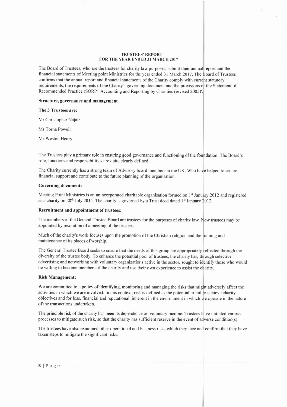#### TRUSTEES' REPORT FOR THE YEAR ENDED 31 MARCH 2017

The Board of Trustees, who are the trustees for charity law purposes, submit their annual report and the financial statements of Meeting point Ministries for the year ended 31 March 2017. The Board of Trustees confirms that the annual report and financial statements ofthe Charity comply with current statutory requirements, the requirements of the Charity's governing document and the provisions of the Statement of Recommended Practice (SORP) 'Accounting and Reporting by Charities (revised 2005)'

# Structure, governance and management

## The 3 Trustees are:

Mr Christopher Najair

Ms Toma Powell

Mr Weston Henry

The Trustees play a primary role in ensuring good govemance and functioning ofthe foundation. The Board's role, functions and responsibilities are quite clearly defined.

The Charity currently has a strong team of Advisory board members in the UK. Who have helped to secure financial support and contribute to the future planning of the organisation.

## Governing document:

Meeting Point Ministries is an unincorporated charitable organisation formed on 1<sup>st</sup> January 2012 and registered as a charity on 28<sup>th</sup> July 2015. The charity is governed by a Trust deed dated 1<sup>st</sup> January 2012.

#### Recruitment and appointment of trustees:

The members of the General Trustee Board are trustees for the purposes of charity law. New trustees may be appointed by resolution of a meeting of the trustees.

Much of the charity's work focuses upon the promotion of the Christian religion and the running and maintenance of its places of worship.

The General Trustee Board seeks to ensure that the needs ofthis group are appropriately reflected through the diversity of the trustee body. To enhance the potential pool of trustees, the charity has, through selective advertising and networking with voluntary organizations active in the sector, sought to identify those who would be willing to become members of the charity and use their own experience to assist the charity.

#### Risk Management:

We are committed to a policy of identifying, monitoring and managing the risks that might adversely affect the<br>activities in which we are involved. In this context, risk is defined as the potential to fail to achieve chari activities in which we are involved. In this context, risk is defined as the potential to fail to achieve charity objectives and for loss, financial and reputational, inherent in the environment in which we operate in the nature of the transactions undertaken.

The principle risk ofthe charity has been its dependence on voluntary income. Trustees have initiated various processes to mitigate such risk, so that the charity has sufficient reserve in the event of adverse condition(s).

The trustees have also examined other operational and business risks which they face and confirm that they have taken steps to mitigate the significant risks.